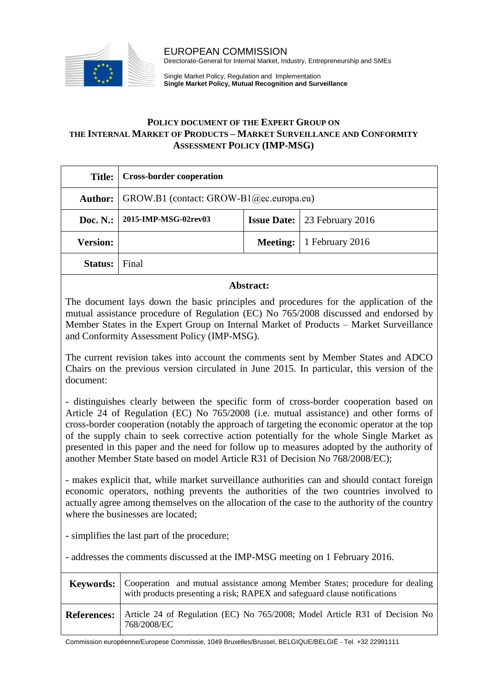

EUROPEAN COMMISSION Directorate-General for Internal Market, Industry, Entrepreneurship and SMEs

Single Market Policy, Regulation and Implementation **Single Market Policy, Mutual Recognition and Surveillance**

## **POLICY DOCUMENT OF THE EXPERT GROUP ON THE INTERNAL MARKET OF PRODUCTS – MARKET SURVEILLANCE AND CONFORMITY ASSESSMENT POLICY (IMP-MSG)**

| Title:               | <b>Cross-border cooperation</b>         |  |                                       |
|----------------------|-----------------------------------------|--|---------------------------------------|
| Author:              | GROW.B1 (contact: GROW-B1@ec.europa.eu) |  |                                       |
| Doc. $N$ .:          | 2015-IMP-MSG-02rev03                    |  | <b>Issue Date:</b>   23 February 2016 |
| <b>Version:</b>      |                                         |  | Meeting:   1 February 2016            |
| <b>Status:</b> Final |                                         |  |                                       |

## **Abstract:**

The document lays down the basic principles and procedures for the application of the mutual assistance procedure of Regulation (EC) No 765/2008 discussed and endorsed by Member States in the Expert Group on Internal Market of Products – Market Surveillance and Conformity Assessment Policy (IMP-MSG).

The current revision takes into account the comments sent by Member States and ADCO Chairs on the previous version circulated in June 2015. In particular, this version of the document:

- distinguishes clearly between the specific form of cross-border cooperation based on Article 24 of Regulation (EC) No 765/2008 (i.e. mutual assistance) and other forms of cross-border cooperation (notably the approach of targeting the economic operator at the top of the supply chain to seek corrective action potentially for the whole Single Market as presented in this paper and the need for follow up to measures adopted by the authority of another Member State based on model Article R31 of Decision No 768/2008/EC);

- makes explicit that, while market surveillance authorities can and should contact foreign economic operators, nothing prevents the authorities of the two countries involved to actually agree among themselves on the allocation of the case to the authority of the country where the businesses are located;

- simplifies the last part of the procedure;

- addresses the comments discussed at the IMP-MSG meeting on 1 February 2016.

|                    | Keywords:   Cooperation and mutual assistance among Member States; procedure for dealing<br>with products presenting a risk; RAPEX and safeguard clause notifications |  |
|--------------------|-----------------------------------------------------------------------------------------------------------------------------------------------------------------------|--|
| <b>References:</b> | Article 24 of Regulation (EC) No 765/2008; Model Article R31 of Decision No<br>768/2008/EC                                                                            |  |

Commission européenne/Europese Commissie, 1049 Bruxelles/Brussel, BELGIQUE/BELGIË - Tel. +32 22991111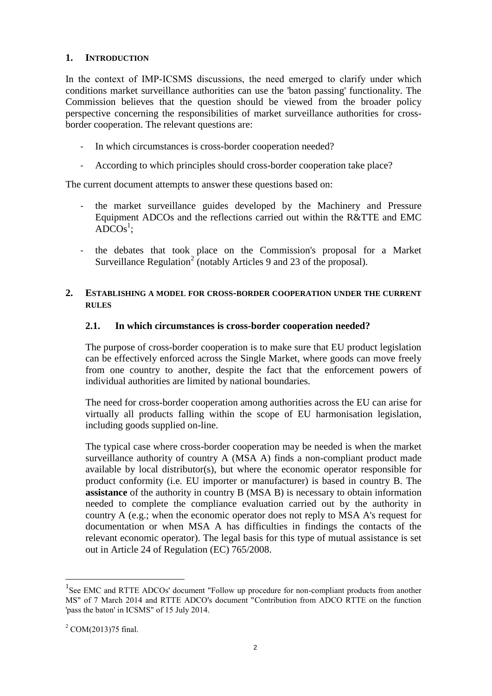## **1. INTRODUCTION**

In the context of IMP-ICSMS discussions, the need emerged to clarify under which conditions market surveillance authorities can use the 'baton passing' functionality. The Commission believes that the question should be viewed from the broader policy perspective concerning the responsibilities of market surveillance authorities for crossborder cooperation. The relevant questions are:

- In which circumstances is cross-border cooperation needed?
- According to which principles should cross-border cooperation take place?

The current document attempts to answer these questions based on:

- the market surveillance guides developed by the Machinery and Pressure Equipment ADCOs and the reflections carried out within the R&TTE and EMC  $\overline{ADCOs}^1$ ;
- the debates that took place on the Commission's proposal for a Market Surveillance Regulation<sup>2</sup> (notably Articles 9 and 23 of the proposal).

## **2. ESTABLISHING A MODEL FOR CROSS-BORDER COOPERATION UNDER THE CURRENT RULES**

## **2.1. In which circumstances is cross-border cooperation needed?**

The purpose of cross-border cooperation is to make sure that EU product legislation can be effectively enforced across the Single Market, where goods can move freely from one country to another, despite the fact that the enforcement powers of individual authorities are limited by national boundaries.

The need for cross-border cooperation among authorities across the EU can arise for virtually all products falling within the scope of EU harmonisation legislation, including goods supplied on-line.

The typical case where cross-border cooperation may be needed is when the market surveillance authority of country A (MSA A) finds a non-compliant product made available by local distributor(s), but where the economic operator responsible for product conformity (i.e. EU importer or manufacturer) is based in country B. The **assistance** of the authority in country B (MSA B) is necessary to obtain information needed to complete the compliance evaluation carried out by the authority in country A (e.g.; when the economic operator does not reply to MSA A's request for documentation or when MSA A has difficulties in findings the contacts of the relevant economic operator). The legal basis for this type of mutual assistance is set out in Article 24 of Regulation (EC) 765/2008.

 $\overline{a}$ 

<sup>&</sup>lt;sup>1</sup>See EMC and RTTE ADCOs' document "Follow up procedure for non-compliant products from another MS" of 7 March 2014 and RTTE ADCO's document "Contribution from ADCO RTTE on the function 'pass the baton' in ICSMS" of 15 July 2014.

 $^{2}$  COM(2013)75 final.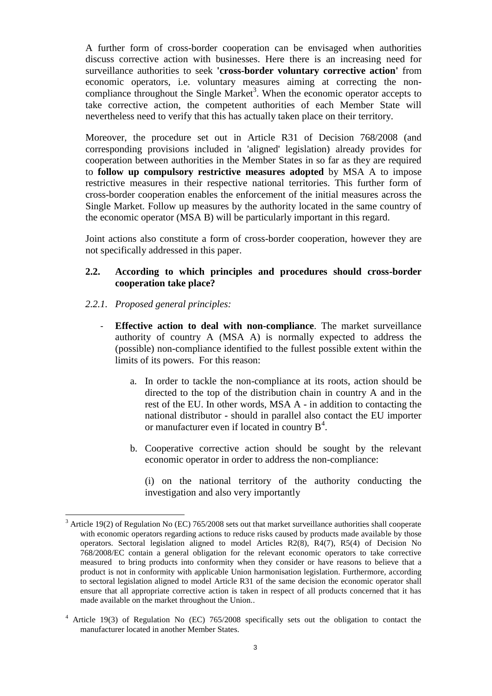A further form of cross-border cooperation can be envisaged when authorities discuss corrective action with businesses. Here there is an increasing need for surveillance authorities to seek **'cross-border voluntary corrective action'** from economic operators, i.e. voluntary measures aiming at correcting the noncompliance throughout the Single Market<sup>3</sup>. When the economic operator accepts to take corrective action, the competent authorities of each Member State will nevertheless need to verify that this has actually taken place on their territory.

Moreover, the procedure set out in Article R31 of Decision 768/2008 (and corresponding provisions included in 'aligned' legislation) already provides for cooperation between authorities in the Member States in so far as they are required to **follow up compulsory restrictive measures adopted** by MSA A to impose restrictive measures in their respective national territories. This further form of cross-border cooperation enables the enforcement of the initial measures across the Single Market. Follow up measures by the authority located in the same country of the economic operator (MSA B) will be particularly important in this regard.

Joint actions also constitute a form of cross-border cooperation, however they are not specifically addressed in this paper.

#### **2.2. According to which principles and procedures should cross-border cooperation take place?**

#### *2.2.1. Proposed general principles:*

- **Effective action to deal with non-compliance**. The market surveillance authority of country A (MSA A) is normally expected to address the (possible) non-compliance identified to the fullest possible extent within the limits of its powers. For this reason:
	- a. In order to tackle the non-compliance at its roots, action should be directed to the top of the distribution chain in country A and in the rest of the EU. In other words, MSA A - in addition to contacting the national distributor - should in parallel also contact the EU importer or manufacturer even if located in country  $B<sup>4</sup>$ .
	- b. Cooperative corrective action should be sought by the relevant economic operator in order to address the non-compliance:
		- (i) on the national territory of the authority conducting the investigation and also very importantly

 $\overline{a}$ <sup>3</sup> Article 19(2) of Regulation No (EC) 765/2008 sets out that market surveillance authorities shall cooperate with economic operators regarding actions to reduce risks caused by products made available by those operators. Sectoral legislation aligned to model Articles R2(8), R4(7), R5(4) of Decision No 768/2008/EC contain a general obligation for the relevant economic operators to take corrective measured to bring products into conformity when they consider or have reasons to believe that a product is not in conformity with applicable Union harmonisation legislation. Furthermore, according to sectoral legislation aligned to model Article R31 of the same decision the economic operator shall ensure that all appropriate corrective action is taken in respect of all products concerned that it has made available on the market throughout the Union..

<sup>4</sup> Article 19(3) of Regulation No (EC) 765/2008 specifically sets out the obligation to contact the manufacturer located in another Member States.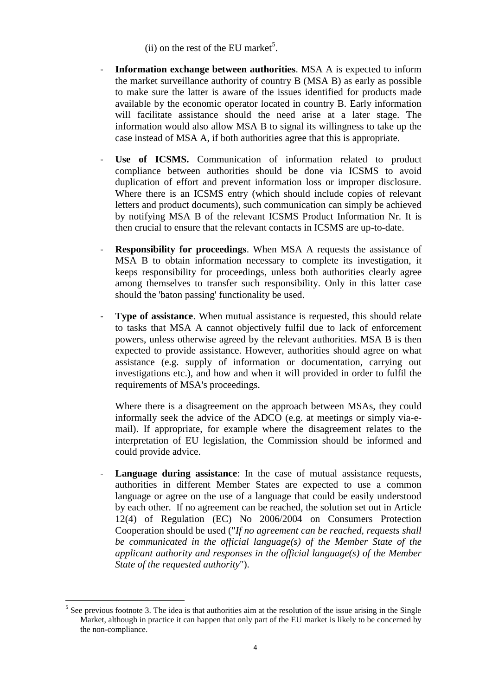- (ii) on the rest of the EU market<sup>5</sup>.
- **Information exchange between authorities**. MSA A is expected to inform the market surveillance authority of country B (MSA B) as early as possible to make sure the latter is aware of the issues identified for products made available by the economic operator located in country B. Early information will facilitate assistance should the need arise at a later stage. The information would also allow MSA B to signal its willingness to take up the case instead of MSA A, if both authorities agree that this is appropriate.
- Use of ICSMS. Communication of information related to product compliance between authorities should be done via ICSMS to avoid duplication of effort and prevent information loss or improper disclosure. Where there is an ICSMS entry (which should include copies of relevant letters and product documents), such communication can simply be achieved by notifying MSA B of the relevant ICSMS Product Information Nr. It is then crucial to ensure that the relevant contacts in ICSMS are up-to-date.
- **Responsibility for proceedings.** When MSA A requests the assistance of MSA B to obtain information necessary to complete its investigation, it keeps responsibility for proceedings, unless both authorities clearly agree among themselves to transfer such responsibility. Only in this latter case should the 'baton passing' functionality be used.
- **Type of assistance**. When mutual assistance is requested, this should relate to tasks that MSA A cannot objectively fulfil due to lack of enforcement powers, unless otherwise agreed by the relevant authorities. MSA B is then expected to provide assistance. However, authorities should agree on what assistance (e.g. supply of information or documentation, carrying out investigations etc.), and how and when it will provided in order to fulfil the requirements of MSA's proceedings.

Where there is a disagreement on the approach between MSAs, they could informally seek the advice of the ADCO (e.g. at meetings or simply via-email). If appropriate, for example where the disagreement relates to the interpretation of EU legislation, the Commission should be informed and could provide advice.

Language during assistance: In the case of mutual assistance requests, authorities in different Member States are expected to use a common language or agree on the use of a language that could be easily understood by each other. If no agreement can be reached, the solution set out in Article 12(4) of Regulation (EC) No 2006/2004 on Consumers Protection Cooperation should be used ("*If no agreement can be reached, requests shall be communicated in the official language(s) of the Member State of the applicant authority and responses in the official language(s) of the Member State of the requested authority*").

 $\overline{a}$  $<sup>5</sup>$  See previous footnote 3. The idea is that authorities aim at the resolution of the issue arising in the Single</sup> Market, although in practice it can happen that only part of the EU market is likely to be concerned by the non-compliance.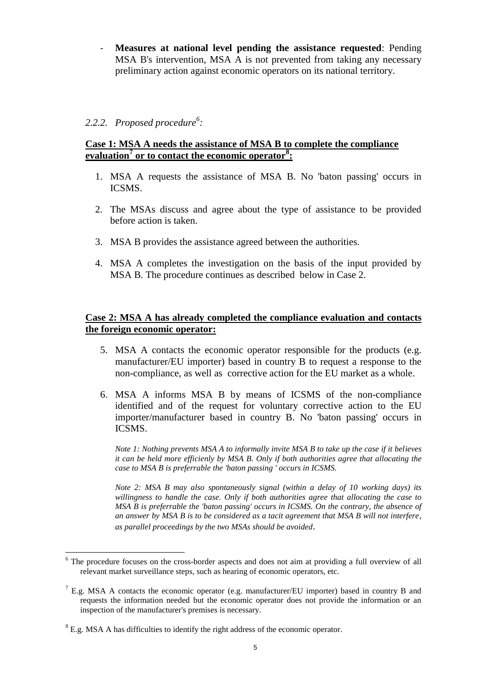- **Measures at national level pending the assistance requested**: Pending MSA B's intervention, MSA A is not prevented from taking any necessary preliminary action against economic operators on its national territory.

# *2.2.2. Proposed procedure<sup>6</sup> :*

## **Case 1: MSA A needs the assistance of MSA B to complete the compliance evaluation<sup>7</sup> or to contact the economic operator<sup>8</sup> :**

- 1. MSA A requests the assistance of MSA B. No 'baton passing' occurs in ICSMS.
- 2. The MSAs discuss and agree about the type of assistance to be provided before action is taken.
- 3. MSA B provides the assistance agreed between the authorities.
- 4. MSA A completes the investigation on the basis of the input provided by MSA B. The procedure continues as described below in Case 2.

## **Case 2: MSA A has already completed the compliance evaluation and contacts the foreign economic operator:**

- 5. MSA A contacts the economic operator responsible for the products (e.g. manufacturer/EU importer) based in country B to request a response to the non-compliance, as well as corrective action for the EU market as a whole.
- 6. MSA A informs MSA B by means of ICSMS of the non-compliance identified and of the request for voluntary corrective action to the EU importer/manufacturer based in country B. No 'baton passing' occurs in ICSMS.

*Note 1: Nothing prevents MSA A to informally invite MSA B to take up the case if it believes it can be held more efficienly by MSA B. Only if both authorities agree that allocating the case to MSA B is preferrable the 'baton passing ' occurs in ICSMS.* 

*Note 2: MSA B may also spontaneously signal (within a delay of 10 working days) its willingness to handle the case. Only if both authorities agree that allocating the case to MSA B is preferrable the 'baton passing' occurs in ICSMS. On the contrary, the absence of an answer by MSA B is to be considered as a tacit agreement that MSA B will not interfere, as parallel proceedings by the two MSAs should be avoided*.

 $\overline{a}$ 

<sup>&</sup>lt;sup>6</sup> The procedure focuses on the cross-border aspects and does not aim at providing a full overview of all relevant market surveillance steps, such as hearing of economic operators, etc.

 $<sup>7</sup>$  E.g. MSA A contacts the economic operator (e.g. manufacturer/EU importer) based in country B and</sup> requests the information needed but the economic operator does not provide the information or an inspection of the manufacturer's premises is necessary.

 $8$  E.g. MSA A has difficulties to identify the right address of the economic operator.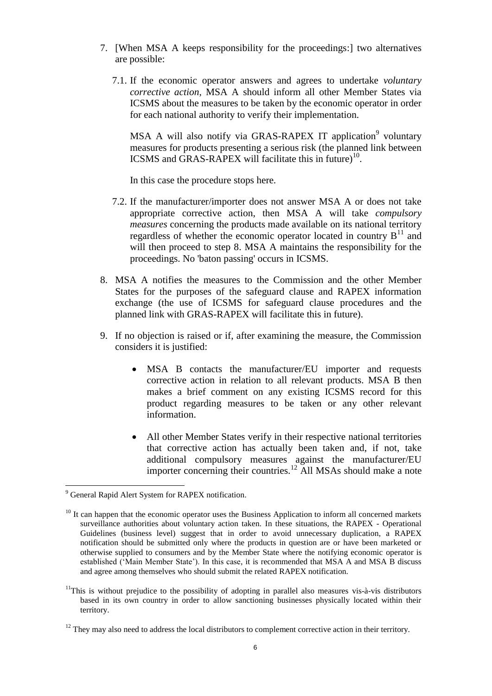- 7. [When MSA A keeps responsibility for the proceedings:] two alternatives are possible:
	- 7.1. If the economic operator answers and agrees to undertake *voluntary corrective action,* MSA A should inform all other Member States via ICSMS about the measures to be taken by the economic operator in order for each national authority to verify their implementation.

MSA A will also notify via GRAS-RAPEX IT application<sup>9</sup> voluntary measures for products presenting a serious risk (the planned link between ICSMS and GRAS-RAPEX will facilitate this in future)<sup>10</sup>.

In this case the procedure stops here.

- 7.2. If the manufacturer/importer does not answer MSA A or does not take appropriate corrective action, then MSA A will take *compulsory measures* concerning the products made available on its national territory regardless of whether the economic operator located in country  $B<sup>11</sup>$  and will then proceed to step 8. MSA A maintains the responsibility for the proceedings. No 'baton passing' occurs in ICSMS.
- 8. MSA A notifies the measures to the Commission and the other Member States for the purposes of the safeguard clause and RAPEX information exchange (the use of ICSMS for safeguard clause procedures and the planned link with GRAS-RAPEX will facilitate this in future).
- 9. If no objection is raised or if, after examining the measure, the Commission considers it is justified:
	- MSA B contacts the manufacturer/EU importer and requests corrective action in relation to all relevant products. MSA B then makes a brief comment on any existing ICSMS record for this product regarding measures to be taken or any other relevant information.
	- All other Member States verify in their respective national territories that corrective action has actually been taken and, if not, take additional compulsory measures against the manufacturer/EU importer concerning their countries.<sup>12</sup> All MSAs should make a note

 $\overline{a}$ 

<sup>11</sup>This is without prejudice to the possibility of adopting in parallel also measures vis-à-vis distributors based in its own country in order to allow sanctioning businesses physically located within their territory.

<sup>&</sup>lt;sup>9</sup> General Rapid Alert System for RAPEX notification.

<sup>&</sup>lt;sup>10</sup> It can happen that the economic operator uses the Business Application to inform all concerned markets surveillance authorities about voluntary action taken. In these situations, the RAPEX - Operational Guidelines (business level) suggest that in order to avoid unnecessary duplication, a RAPEX notification should be submitted only where the products in question are or have been marketed or otherwise supplied to consumers and by the Member State where the notifying economic operator is established ('Main Member State'). In this case, it is recommended that MSA A and MSA B discuss and agree among themselves who should submit the related RAPEX notification.

 $12$  They may also need to address the local distributors to complement corrective action in their territory.